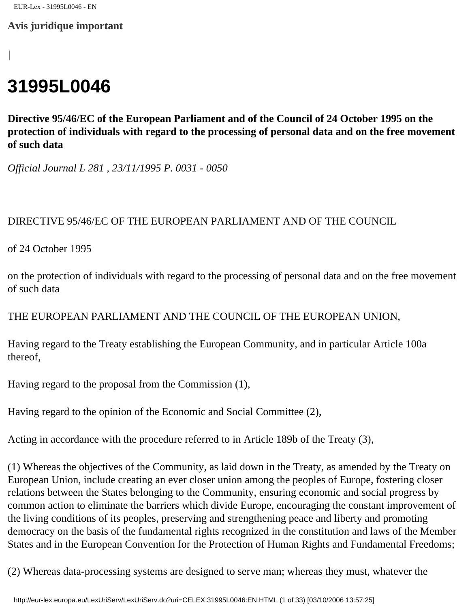**[Avis juridique important](http://eur-lex.europa.eu/editorial/legal_notice.htm)**

# **31995L0046**

*|*

**Directive 95/46/EC of the European Parliament and of the Council of 24 October 1995 on the protection of individuals with regard to the processing of personal data and on the free movement of such data** 

*Official Journal L 281 , 23/11/1995 P. 0031 - 0050*

# DIRECTIVE 95/46/EC OF THE EUROPEAN PARLIAMENT AND OF THE COUNCIL

of 24 October 1995

on the protection of individuals with regard to the processing of personal data and on the free movement of such data

THE EUROPEAN PARLIAMENT AND THE COUNCIL OF THE EUROPEAN UNION,

Having regard to the Treaty establishing the European Community, and in particular Article 100a thereof,

Having regard to the proposal from the Commission (1),

Having regard to the opinion of the Economic and Social Committee (2),

Acting in accordance with the procedure referred to in Article 189b of the Treaty (3),

(1) Whereas the objectives of the Community, as laid down in the Treaty, as amended by the Treaty on European Union, include creating an ever closer union among the peoples of Europe, fostering closer relations between the States belonging to the Community, ensuring economic and social progress by common action to eliminate the barriers which divide Europe, encouraging the constant improvement of the living conditions of its peoples, preserving and strengthening peace and liberty and promoting democracy on the basis of the fundamental rights recognized in the constitution and laws of the Member States and in the European Convention for the Protection of Human Rights and Fundamental Freedoms;

(2) Whereas data-processing systems are designed to serve man; whereas they must, whatever the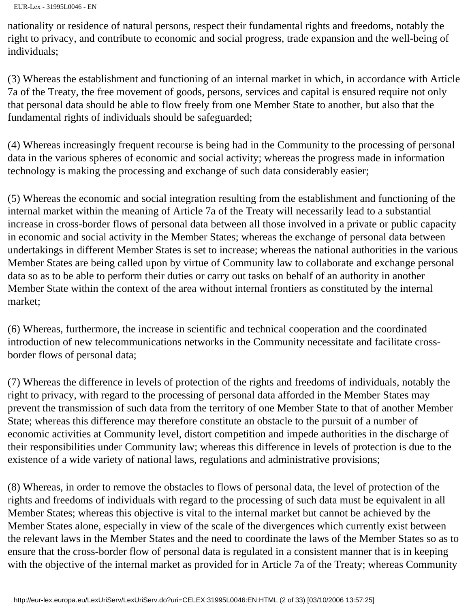```
EUR-Lex - 31995L0046 - EN
```
nationality or residence of natural persons, respect their fundamental rights and freedoms, notably the right to privacy, and contribute to economic and social progress, trade expansion and the well-being of individuals;

(3) Whereas the establishment and functioning of an internal market in which, in accordance with Article 7a of the Treaty, the free movement of goods, persons, services and capital is ensured require not only that personal data should be able to flow freely from one Member State to another, but also that the fundamental rights of individuals should be safeguarded;

(4) Whereas increasingly frequent recourse is being had in the Community to the processing of personal data in the various spheres of economic and social activity; whereas the progress made in information technology is making the processing and exchange of such data considerably easier;

(5) Whereas the economic and social integration resulting from the establishment and functioning of the internal market within the meaning of Article 7a of the Treaty will necessarily lead to a substantial increase in cross-border flows of personal data between all those involved in a private or public capacity in economic and social activity in the Member States; whereas the exchange of personal data between undertakings in different Member States is set to increase; whereas the national authorities in the various Member States are being called upon by virtue of Community law to collaborate and exchange personal data so as to be able to perform their duties or carry out tasks on behalf of an authority in another Member State within the context of the area without internal frontiers as constituted by the internal market;

(6) Whereas, furthermore, the increase in scientific and technical cooperation and the coordinated introduction of new telecommunications networks in the Community necessitate and facilitate crossborder flows of personal data;

(7) Whereas the difference in levels of protection of the rights and freedoms of individuals, notably the right to privacy, with regard to the processing of personal data afforded in the Member States may prevent the transmission of such data from the territory of one Member State to that of another Member State; whereas this difference may therefore constitute an obstacle to the pursuit of a number of economic activities at Community level, distort competition and impede authorities in the discharge of their responsibilities under Community law; whereas this difference in levels of protection is due to the existence of a wide variety of national laws, regulations and administrative provisions;

(8) Whereas, in order to remove the obstacles to flows of personal data, the level of protection of the rights and freedoms of individuals with regard to the processing of such data must be equivalent in all Member States; whereas this objective is vital to the internal market but cannot be achieved by the Member States alone, especially in view of the scale of the divergences which currently exist between the relevant laws in the Member States and the need to coordinate the laws of the Member States so as to ensure that the cross-border flow of personal data is regulated in a consistent manner that is in keeping with the objective of the internal market as provided for in Article 7a of the Treaty; whereas Community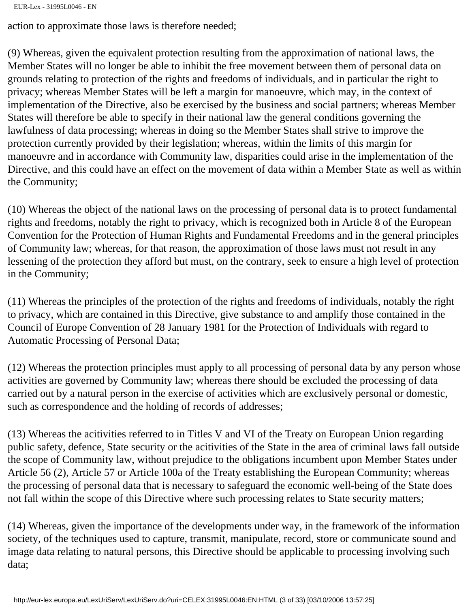action to approximate those laws is therefore needed;

(9) Whereas, given the equivalent protection resulting from the approximation of national laws, the Member States will no longer be able to inhibit the free movement between them of personal data on grounds relating to protection of the rights and freedoms of individuals, and in particular the right to privacy; whereas Member States will be left a margin for manoeuvre, which may, in the context of implementation of the Directive, also be exercised by the business and social partners; whereas Member States will therefore be able to specify in their national law the general conditions governing the lawfulness of data processing; whereas in doing so the Member States shall strive to improve the protection currently provided by their legislation; whereas, within the limits of this margin for manoeuvre and in accordance with Community law, disparities could arise in the implementation of the Directive, and this could have an effect on the movement of data within a Member State as well as within the Community;

(10) Whereas the object of the national laws on the processing of personal data is to protect fundamental rights and freedoms, notably the right to privacy, which is recognized both in Article 8 of the European Convention for the Protection of Human Rights and Fundamental Freedoms and in the general principles of Community law; whereas, for that reason, the approximation of those laws must not result in any lessening of the protection they afford but must, on the contrary, seek to ensure a high level of protection in the Community;

(11) Whereas the principles of the protection of the rights and freedoms of individuals, notably the right to privacy, which are contained in this Directive, give substance to and amplify those contained in the Council of Europe Convention of 28 January 1981 for the Protection of Individuals with regard to Automatic Processing of Personal Data;

(12) Whereas the protection principles must apply to all processing of personal data by any person whose activities are governed by Community law; whereas there should be excluded the processing of data carried out by a natural person in the exercise of activities which are exclusively personal or domestic, such as correspondence and the holding of records of addresses;

(13) Whereas the acitivities referred to in Titles V and VI of the Treaty on European Union regarding public safety, defence, State security or the acitivities of the State in the area of criminal laws fall outside the scope of Community law, without prejudice to the obligations incumbent upon Member States under Article 56 (2), Article 57 or Article 100a of the Treaty establishing the European Community; whereas the processing of personal data that is necessary to safeguard the economic well-being of the State does not fall within the scope of this Directive where such processing relates to State security matters;

(14) Whereas, given the importance of the developments under way, in the framework of the information society, of the techniques used to capture, transmit, manipulate, record, store or communicate sound and image data relating to natural persons, this Directive should be applicable to processing involving such data;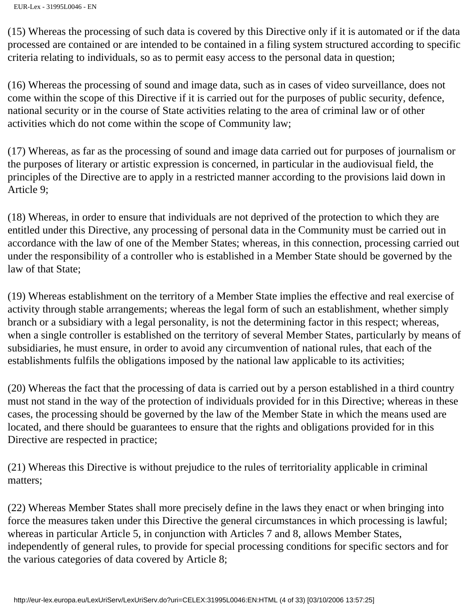(15) Whereas the processing of such data is covered by this Directive only if it is automated or if the data processed are contained or are intended to be contained in a filing system structured according to specific criteria relating to individuals, so as to permit easy access to the personal data in question;

(16) Whereas the processing of sound and image data, such as in cases of video surveillance, does not come within the scope of this Directive if it is carried out for the purposes of public security, defence, national security or in the course of State activities relating to the area of criminal law or of other activities which do not come within the scope of Community law;

(17) Whereas, as far as the processing of sound and image data carried out for purposes of journalism or the purposes of literary or artistic expression is concerned, in particular in the audiovisual field, the principles of the Directive are to apply in a restricted manner according to the provisions laid down in Article 9;

(18) Whereas, in order to ensure that individuals are not deprived of the protection to which they are entitled under this Directive, any processing of personal data in the Community must be carried out in accordance with the law of one of the Member States; whereas, in this connection, processing carried out under the responsibility of a controller who is established in a Member State should be governed by the law of that State;

(19) Whereas establishment on the territory of a Member State implies the effective and real exercise of activity through stable arrangements; whereas the legal form of such an establishment, whether simply branch or a subsidiary with a legal personality, is not the determining factor in this respect; whereas, when a single controller is established on the territory of several Member States, particularly by means of subsidiaries, he must ensure, in order to avoid any circumvention of national rules, that each of the establishments fulfils the obligations imposed by the national law applicable to its activities;

(20) Whereas the fact that the processing of data is carried out by a person established in a third country must not stand in the way of the protection of individuals provided for in this Directive; whereas in these cases, the processing should be governed by the law of the Member State in which the means used are located, and there should be guarantees to ensure that the rights and obligations provided for in this Directive are respected in practice;

(21) Whereas this Directive is without prejudice to the rules of territoriality applicable in criminal matters;

(22) Whereas Member States shall more precisely define in the laws they enact or when bringing into force the measures taken under this Directive the general circumstances in which processing is lawful; whereas in particular Article 5, in conjunction with Articles 7 and 8, allows Member States, independently of general rules, to provide for special processing conditions for specific sectors and for the various categories of data covered by Article 8;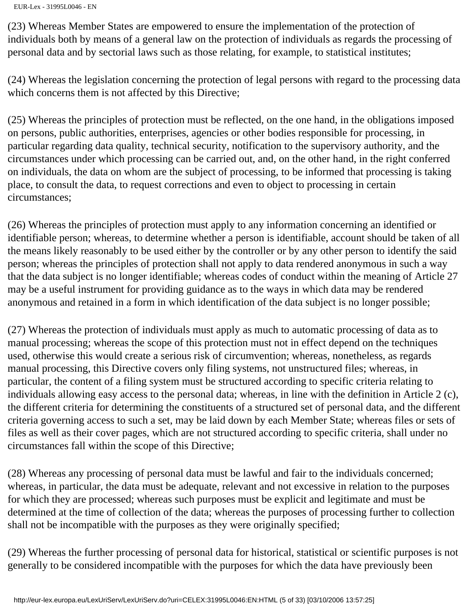```
EUR-Lex - 31995L0046 - EN
```
(23) Whereas Member States are empowered to ensure the implementation of the protection of individuals both by means of a general law on the protection of individuals as regards the processing of personal data and by sectorial laws such as those relating, for example, to statistical institutes;

(24) Whereas the legislation concerning the protection of legal persons with regard to the processing data which concerns them is not affected by this Directive;

(25) Whereas the principles of protection must be reflected, on the one hand, in the obligations imposed on persons, public authorities, enterprises, agencies or other bodies responsible for processing, in particular regarding data quality, technical security, notification to the supervisory authority, and the circumstances under which processing can be carried out, and, on the other hand, in the right conferred on individuals, the data on whom are the subject of processing, to be informed that processing is taking place, to consult the data, to request corrections and even to object to processing in certain circumstances;

(26) Whereas the principles of protection must apply to any information concerning an identified or identifiable person; whereas, to determine whether a person is identifiable, account should be taken of all the means likely reasonably to be used either by the controller or by any other person to identify the said person; whereas the principles of protection shall not apply to data rendered anonymous in such a way that the data subject is no longer identifiable; whereas codes of conduct within the meaning of Article 27 may be a useful instrument for providing guidance as to the ways in which data may be rendered anonymous and retained in a form in which identification of the data subject is no longer possible;

(27) Whereas the protection of individuals must apply as much to automatic processing of data as to manual processing; whereas the scope of this protection must not in effect depend on the techniques used, otherwise this would create a serious risk of circumvention; whereas, nonetheless, as regards manual processing, this Directive covers only filing systems, not unstructured files; whereas, in particular, the content of a filing system must be structured according to specific criteria relating to individuals allowing easy access to the personal data; whereas, in line with the definition in Article 2 (c), the different criteria for determining the constituents of a structured set of personal data, and the different criteria governing access to such a set, may be laid down by each Member State; whereas files or sets of files as well as their cover pages, which are not structured according to specific criteria, shall under no circumstances fall within the scope of this Directive;

(28) Whereas any processing of personal data must be lawful and fair to the individuals concerned; whereas, in particular, the data must be adequate, relevant and not excessive in relation to the purposes for which they are processed; whereas such purposes must be explicit and legitimate and must be determined at the time of collection of the data; whereas the purposes of processing further to collection shall not be incompatible with the purposes as they were originally specified;

(29) Whereas the further processing of personal data for historical, statistical or scientific purposes is not generally to be considered incompatible with the purposes for which the data have previously been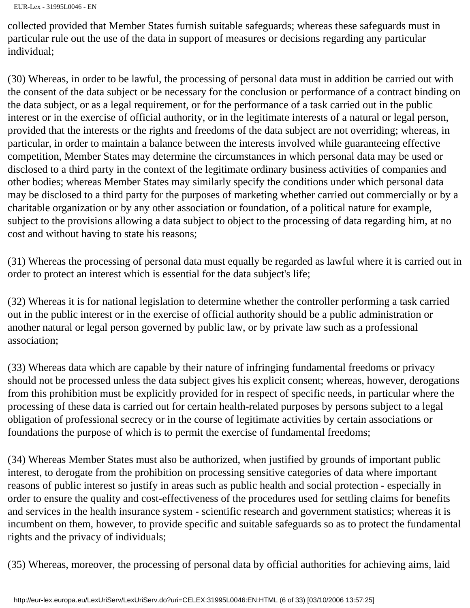```
EUR-Lex - 31995L0046 - EN
```
collected provided that Member States furnish suitable safeguards; whereas these safeguards must in particular rule out the use of the data in support of measures or decisions regarding any particular individual;

(30) Whereas, in order to be lawful, the processing of personal data must in addition be carried out with the consent of the data subject or be necessary for the conclusion or performance of a contract binding on the data subject, or as a legal requirement, or for the performance of a task carried out in the public interest or in the exercise of official authority, or in the legitimate interests of a natural or legal person, provided that the interests or the rights and freedoms of the data subject are not overriding; whereas, in particular, in order to maintain a balance between the interests involved while guaranteeing effective competition, Member States may determine the circumstances in which personal data may be used or disclosed to a third party in the context of the legitimate ordinary business activities of companies and other bodies; whereas Member States may similarly specify the conditions under which personal data may be disclosed to a third party for the purposes of marketing whether carried out commercially or by a charitable organization or by any other association or foundation, of a political nature for example, subject to the provisions allowing a data subject to object to the processing of data regarding him, at no cost and without having to state his reasons;

(31) Whereas the processing of personal data must equally be regarded as lawful where it is carried out in order to protect an interest which is essential for the data subject's life;

(32) Whereas it is for national legislation to determine whether the controller performing a task carried out in the public interest or in the exercise of official authority should be a public administration or another natural or legal person governed by public law, or by private law such as a professional association;

(33) Whereas data which are capable by their nature of infringing fundamental freedoms or privacy should not be processed unless the data subject gives his explicit consent; whereas, however, derogations from this prohibition must be explicitly provided for in respect of specific needs, in particular where the processing of these data is carried out for certain health-related purposes by persons subject to a legal obligation of professional secrecy or in the course of legitimate activities by certain associations or foundations the purpose of which is to permit the exercise of fundamental freedoms;

(34) Whereas Member States must also be authorized, when justified by grounds of important public interest, to derogate from the prohibition on processing sensitive categories of data where important reasons of public interest so justify in areas such as public health and social protection - especially in order to ensure the quality and cost-effectiveness of the procedures used for settling claims for benefits and services in the health insurance system - scientific research and government statistics; whereas it is incumbent on them, however, to provide specific and suitable safeguards so as to protect the fundamental rights and the privacy of individuals;

(35) Whereas, moreover, the processing of personal data by official authorities for achieving aims, laid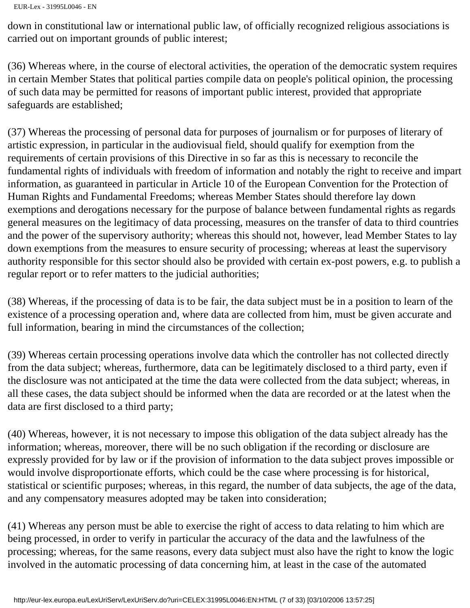down in constitutional law or international public law, of officially recognized religious associations is carried out on important grounds of public interest;

(36) Whereas where, in the course of electoral activities, the operation of the democratic system requires in certain Member States that political parties compile data on people's political opinion, the processing of such data may be permitted for reasons of important public interest, provided that appropriate safeguards are established;

(37) Whereas the processing of personal data for purposes of journalism or for purposes of literary of artistic expression, in particular in the audiovisual field, should qualify for exemption from the requirements of certain provisions of this Directive in so far as this is necessary to reconcile the fundamental rights of individuals with freedom of information and notably the right to receive and impart information, as guaranteed in particular in Article 10 of the European Convention for the Protection of Human Rights and Fundamental Freedoms; whereas Member States should therefore lay down exemptions and derogations necessary for the purpose of balance between fundamental rights as regards general measures on the legitimacy of data processing, measures on the transfer of data to third countries and the power of the supervisory authority; whereas this should not, however, lead Member States to lay down exemptions from the measures to ensure security of processing; whereas at least the supervisory authority responsible for this sector should also be provided with certain ex-post powers, e.g. to publish a regular report or to refer matters to the judicial authorities;

(38) Whereas, if the processing of data is to be fair, the data subject must be in a position to learn of the existence of a processing operation and, where data are collected from him, must be given accurate and full information, bearing in mind the circumstances of the collection;

(39) Whereas certain processing operations involve data which the controller has not collected directly from the data subject; whereas, furthermore, data can be legitimately disclosed to a third party, even if the disclosure was not anticipated at the time the data were collected from the data subject; whereas, in all these cases, the data subject should be informed when the data are recorded or at the latest when the data are first disclosed to a third party;

(40) Whereas, however, it is not necessary to impose this obligation of the data subject already has the information; whereas, moreover, there will be no such obligation if the recording or disclosure are expressly provided for by law or if the provision of information to the data subject proves impossible or would involve disproportionate efforts, which could be the case where processing is for historical, statistical or scientific purposes; whereas, in this regard, the number of data subjects, the age of the data, and any compensatory measures adopted may be taken into consideration;

(41) Whereas any person must be able to exercise the right of access to data relating to him which are being processed, in order to verify in particular the accuracy of the data and the lawfulness of the processing; whereas, for the same reasons, every data subject must also have the right to know the logic involved in the automatic processing of data concerning him, at least in the case of the automated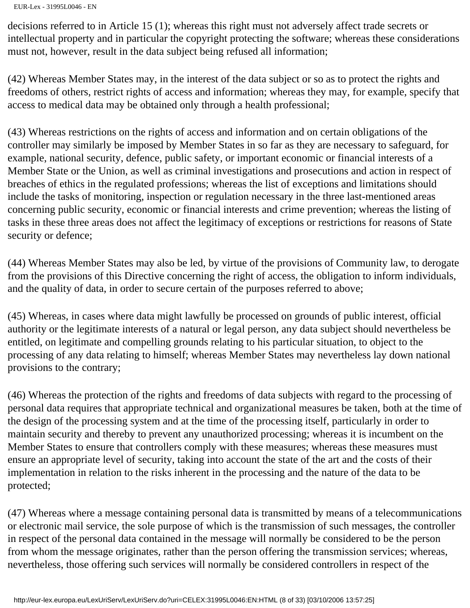```
EUR-Lex - 31995L0046 - EN
```
decisions referred to in Article 15 (1); whereas this right must not adversely affect trade secrets or intellectual property and in particular the copyright protecting the software; whereas these considerations must not, however, result in the data subject being refused all information;

(42) Whereas Member States may, in the interest of the data subject or so as to protect the rights and freedoms of others, restrict rights of access and information; whereas they may, for example, specify that access to medical data may be obtained only through a health professional;

(43) Whereas restrictions on the rights of access and information and on certain obligations of the controller may similarly be imposed by Member States in so far as they are necessary to safeguard, for example, national security, defence, public safety, or important economic or financial interests of a Member State or the Union, as well as criminal investigations and prosecutions and action in respect of breaches of ethics in the regulated professions; whereas the list of exceptions and limitations should include the tasks of monitoring, inspection or regulation necessary in the three last-mentioned areas concerning public security, economic or financial interests and crime prevention; whereas the listing of tasks in these three areas does not affect the legitimacy of exceptions or restrictions for reasons of State security or defence;

(44) Whereas Member States may also be led, by virtue of the provisions of Community law, to derogate from the provisions of this Directive concerning the right of access, the obligation to inform individuals, and the quality of data, in order to secure certain of the purposes referred to above;

(45) Whereas, in cases where data might lawfully be processed on grounds of public interest, official authority or the legitimate interests of a natural or legal person, any data subject should nevertheless be entitled, on legitimate and compelling grounds relating to his particular situation, to object to the processing of any data relating to himself; whereas Member States may nevertheless lay down national provisions to the contrary;

(46) Whereas the protection of the rights and freedoms of data subjects with regard to the processing of personal data requires that appropriate technical and organizational measures be taken, both at the time of the design of the processing system and at the time of the processing itself, particularly in order to maintain security and thereby to prevent any unauthorized processing; whereas it is incumbent on the Member States to ensure that controllers comply with these measures; whereas these measures must ensure an appropriate level of security, taking into account the state of the art and the costs of their implementation in relation to the risks inherent in the processing and the nature of the data to be protected;

(47) Whereas where a message containing personal data is transmitted by means of a telecommunications or electronic mail service, the sole purpose of which is the transmission of such messages, the controller in respect of the personal data contained in the message will normally be considered to be the person from whom the message originates, rather than the person offering the transmission services; whereas, nevertheless, those offering such services will normally be considered controllers in respect of the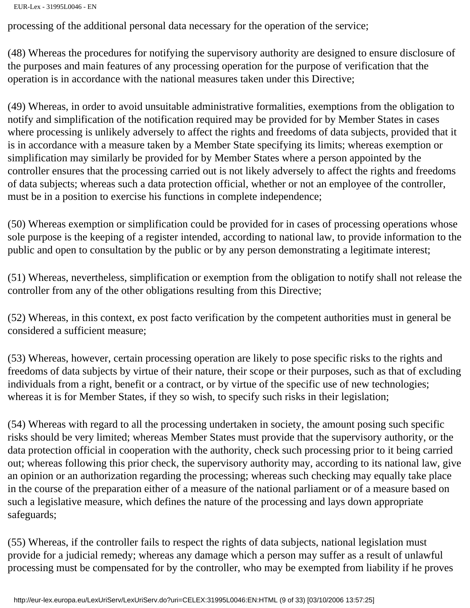```
EUR-Lex - 31995L0046 - EN
```
processing of the additional personal data necessary for the operation of the service;

(48) Whereas the procedures for notifying the supervisory authority are designed to ensure disclosure of the purposes and main features of any processing operation for the purpose of verification that the operation is in accordance with the national measures taken under this Directive;

(49) Whereas, in order to avoid unsuitable administrative formalities, exemptions from the obligation to notify and simplification of the notification required may be provided for by Member States in cases where processing is unlikely adversely to affect the rights and freedoms of data subjects, provided that it is in accordance with a measure taken by a Member State specifying its limits; whereas exemption or simplification may similarly be provided for by Member States where a person appointed by the controller ensures that the processing carried out is not likely adversely to affect the rights and freedoms of data subjects; whereas such a data protection official, whether or not an employee of the controller, must be in a position to exercise his functions in complete independence;

(50) Whereas exemption or simplification could be provided for in cases of processing operations whose sole purpose is the keeping of a register intended, according to national law, to provide information to the public and open to consultation by the public or by any person demonstrating a legitimate interest;

(51) Whereas, nevertheless, simplification or exemption from the obligation to notify shall not release the controller from any of the other obligations resulting from this Directive;

(52) Whereas, in this context, ex post facto verification by the competent authorities must in general be considered a sufficient measure;

(53) Whereas, however, certain processing operation are likely to pose specific risks to the rights and freedoms of data subjects by virtue of their nature, their scope or their purposes, such as that of excluding individuals from a right, benefit or a contract, or by virtue of the specific use of new technologies; whereas it is for Member States, if they so wish, to specify such risks in their legislation;

(54) Whereas with regard to all the processing undertaken in society, the amount posing such specific risks should be very limited; whereas Member States must provide that the supervisory authority, or the data protection official in cooperation with the authority, check such processing prior to it being carried out; whereas following this prior check, the supervisory authority may, according to its national law, give an opinion or an authorization regarding the processing; whereas such checking may equally take place in the course of the preparation either of a measure of the national parliament or of a measure based on such a legislative measure, which defines the nature of the processing and lays down appropriate safeguards;

(55) Whereas, if the controller fails to respect the rights of data subjects, national legislation must provide for a judicial remedy; whereas any damage which a person may suffer as a result of unlawful processing must be compensated for by the controller, who may be exempted from liability if he proves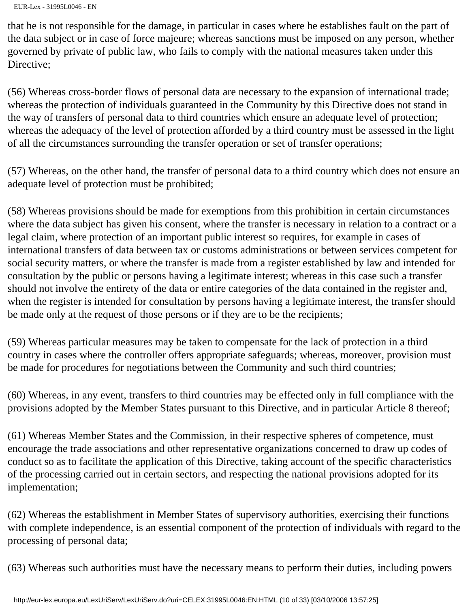```
EUR-Lex - 31995L0046 - EN
```
that he is not responsible for the damage, in particular in cases where he establishes fault on the part of the data subject or in case of force majeure; whereas sanctions must be imposed on any person, whether governed by private of public law, who fails to comply with the national measures taken under this Directive;

(56) Whereas cross-border flows of personal data are necessary to the expansion of international trade; whereas the protection of individuals guaranteed in the Community by this Directive does not stand in the way of transfers of personal data to third countries which ensure an adequate level of protection; whereas the adequacy of the level of protection afforded by a third country must be assessed in the light of all the circumstances surrounding the transfer operation or set of transfer operations;

(57) Whereas, on the other hand, the transfer of personal data to a third country which does not ensure an adequate level of protection must be prohibited;

(58) Whereas provisions should be made for exemptions from this prohibition in certain circumstances where the data subject has given his consent, where the transfer is necessary in relation to a contract or a legal claim, where protection of an important public interest so requires, for example in cases of international transfers of data between tax or customs administrations or between services competent for social security matters, or where the transfer is made from a register established by law and intended for consultation by the public or persons having a legitimate interest; whereas in this case such a transfer should not involve the entirety of the data or entire categories of the data contained in the register and, when the register is intended for consultation by persons having a legitimate interest, the transfer should be made only at the request of those persons or if they are to be the recipients;

(59) Whereas particular measures may be taken to compensate for the lack of protection in a third country in cases where the controller offers appropriate safeguards; whereas, moreover, provision must be made for procedures for negotiations between the Community and such third countries;

(60) Whereas, in any event, transfers to third countries may be effected only in full compliance with the provisions adopted by the Member States pursuant to this Directive, and in particular Article 8 thereof;

(61) Whereas Member States and the Commission, in their respective spheres of competence, must encourage the trade associations and other representative organizations concerned to draw up codes of conduct so as to facilitate the application of this Directive, taking account of the specific characteristics of the processing carried out in certain sectors, and respecting the national provisions adopted for its implementation;

(62) Whereas the establishment in Member States of supervisory authorities, exercising their functions with complete independence, is an essential component of the protection of individuals with regard to the processing of personal data;

(63) Whereas such authorities must have the necessary means to perform their duties, including powers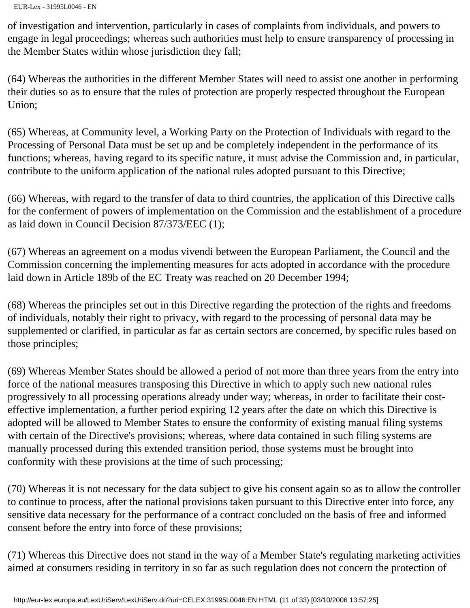of investigation and intervention, particularly in cases of complaints from individuals, and powers to engage in legal proceedings; whereas such authorities must help to ensure transparency of processing in the Member States within whose jurisdiction they fall;

(64) Whereas the authorities in the different Member States will need to assist one another in performing their duties so as to ensure that the rules of protection are properly respected throughout the European Union;

(65) Whereas, at Community level, a Working Party on the Protection of Individuals with regard to the Processing of Personal Data must be set up and be completely independent in the performance of its functions; whereas, having regard to its specific nature, it must advise the Commission and, in particular, contribute to the uniform application of the national rules adopted pursuant to this Directive;

(66) Whereas, with regard to the transfer of data to third countries, the application of this Directive calls for the conferment of powers of implementation on the Commission and the establishment of a procedure as laid down in Council Decision 87/373/EEC (1);

(67) Whereas an agreement on a modus vivendi between the European Parliament, the Council and the Commission concerning the implementing measures for acts adopted in accordance with the procedure laid down in Article 189b of the EC Treaty was reached on 20 December 1994;

(68) Whereas the principles set out in this Directive regarding the protection of the rights and freedoms of individuals, notably their right to privacy, with regard to the processing of personal data may be supplemented or clarified, in particular as far as certain sectors are concerned, by specific rules based on those principles;

(69) Whereas Member States should be allowed a period of not more than three years from the entry into force of the national measures transposing this Directive in which to apply such new national rules progressively to all processing operations already under way; whereas, in order to facilitate their costeffective implementation, a further period expiring 12 years after the date on which this Directive is adopted will be allowed to Member States to ensure the conformity of existing manual filing systems with certain of the Directive's provisions; whereas, where data contained in such filing systems are manually processed during this extended transition period, those systems must be brought into conformity with these provisions at the time of such processing;

(70) Whereas it is not necessary for the data subject to give his consent again so as to allow the controller to continue to process, after the national provisions taken pursuant to this Directive enter into force, any sensitive data necessary for the performance of a contract concluded on the basis of free and informed consent before the entry into force of these provisions;

(71) Whereas this Directive does not stand in the way of a Member State's regulating marketing activities aimed at consumers residing in territory in so far as such regulation does not concern the protection of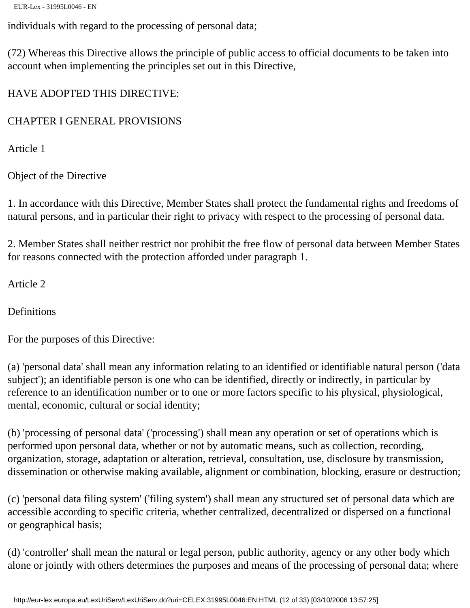```
EUR-Lex - 31995L0046 - EN
```
individuals with regard to the processing of personal data;

(72) Whereas this Directive allows the principle of public access to official documents to be taken into account when implementing the principles set out in this Directive,

# HAVE ADOPTED THIS DIRECTIVE:

## CHAPTER I GENERAL PROVISIONS

Article 1

Object of the Directive

1. In accordance with this Directive, Member States shall protect the fundamental rights and freedoms of natural persons, and in particular their right to privacy with respect to the processing of personal data.

2. Member States shall neither restrict nor prohibit the free flow of personal data between Member States for reasons connected with the protection afforded under paragraph 1.

Article 2

**Definitions** 

For the purposes of this Directive:

(a) 'personal data' shall mean any information relating to an identified or identifiable natural person ('data subject'); an identifiable person is one who can be identified, directly or indirectly, in particular by reference to an identification number or to one or more factors specific to his physical, physiological, mental, economic, cultural or social identity;

(b) 'processing of personal data' ('processing') shall mean any operation or set of operations which is performed upon personal data, whether or not by automatic means, such as collection, recording, organization, storage, adaptation or alteration, retrieval, consultation, use, disclosure by transmission, dissemination or otherwise making available, alignment or combination, blocking, erasure or destruction;

(c) 'personal data filing system' ('filing system') shall mean any structured set of personal data which are accessible according to specific criteria, whether centralized, decentralized or dispersed on a functional or geographical basis;

(d) 'controller' shall mean the natural or legal person, public authority, agency or any other body which alone or jointly with others determines the purposes and means of the processing of personal data; where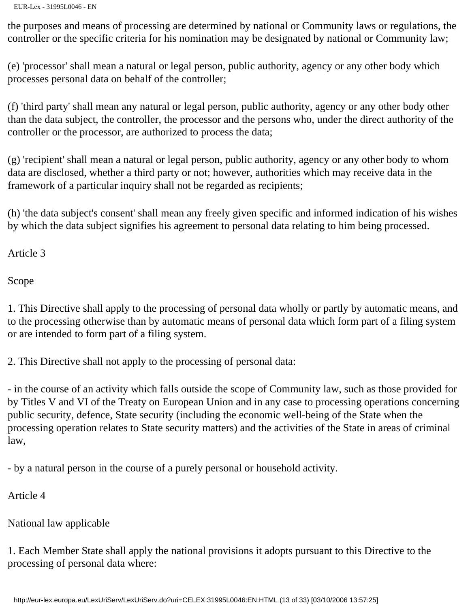the purposes and means of processing are determined by national or Community laws or regulations, the controller or the specific criteria for his nomination may be designated by national or Community law;

(e) 'processor' shall mean a natural or legal person, public authority, agency or any other body which processes personal data on behalf of the controller;

(f) 'third party' shall mean any natural or legal person, public authority, agency or any other body other than the data subject, the controller, the processor and the persons who, under the direct authority of the controller or the processor, are authorized to process the data;

(g) 'recipient' shall mean a natural or legal person, public authority, agency or any other body to whom data are disclosed, whether a third party or not; however, authorities which may receive data in the framework of a particular inquiry shall not be regarded as recipients;

(h) 'the data subject's consent' shall mean any freely given specific and informed indication of his wishes by which the data subject signifies his agreement to personal data relating to him being processed.

Article 3

Scope

1. This Directive shall apply to the processing of personal data wholly or partly by automatic means, and to the processing otherwise than by automatic means of personal data which form part of a filing system or are intended to form part of a filing system.

2. This Directive shall not apply to the processing of personal data:

- in the course of an activity which falls outside the scope of Community law, such as those provided for by Titles V and VI of the Treaty on European Union and in any case to processing operations concerning public security, defence, State security (including the economic well-being of the State when the processing operation relates to State security matters) and the activities of the State in areas of criminal law,

- by a natural person in the course of a purely personal or household activity.

Article 4

National law applicable

1. Each Member State shall apply the national provisions it adopts pursuant to this Directive to the processing of personal data where: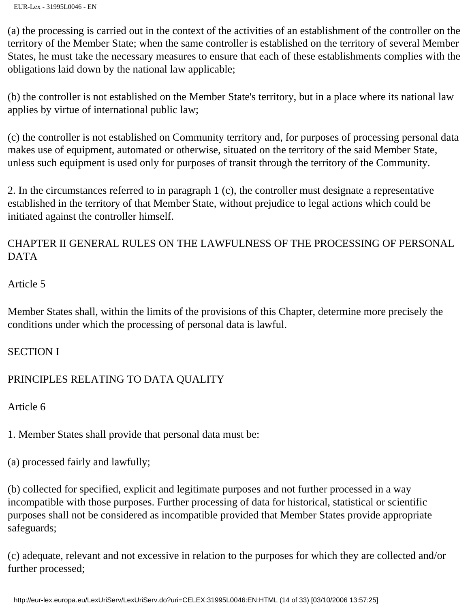(a) the processing is carried out in the context of the activities of an establishment of the controller on the territory of the Member State; when the same controller is established on the territory of several Member States, he must take the necessary measures to ensure that each of these establishments complies with the obligations laid down by the national law applicable;

(b) the controller is not established on the Member State's territory, but in a place where its national law applies by virtue of international public law;

(c) the controller is not established on Community territory and, for purposes of processing personal data makes use of equipment, automated or otherwise, situated on the territory of the said Member State, unless such equipment is used only for purposes of transit through the territory of the Community.

2. In the circumstances referred to in paragraph 1 (c), the controller must designate a representative established in the territory of that Member State, without prejudice to legal actions which could be initiated against the controller himself.

# CHAPTER II GENERAL RULES ON THE LAWFULNESS OF THE PROCESSING OF PERSONAL DATA

## Article 5

Member States shall, within the limits of the provisions of this Chapter, determine more precisely the conditions under which the processing of personal data is lawful.

## SECTION I

# PRINCIPLES RELATING TO DATA QUALITY

Article 6

1. Member States shall provide that personal data must be:

(a) processed fairly and lawfully;

(b) collected for specified, explicit and legitimate purposes and not further processed in a way incompatible with those purposes. Further processing of data for historical, statistical or scientific purposes shall not be considered as incompatible provided that Member States provide appropriate safeguards;

(c) adequate, relevant and not excessive in relation to the purposes for which they are collected and/or further processed;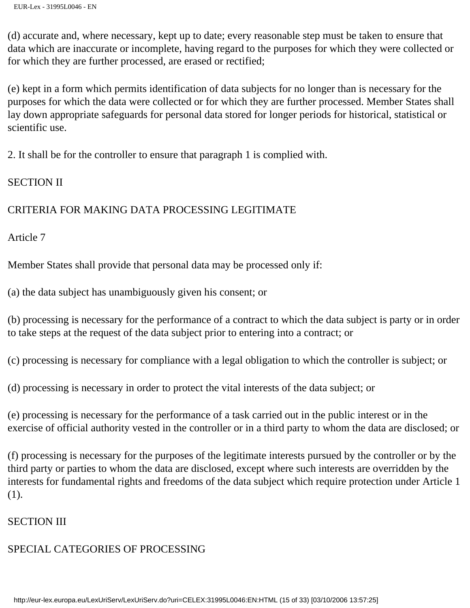(d) accurate and, where necessary, kept up to date; every reasonable step must be taken to ensure that data which are inaccurate or incomplete, having regard to the purposes for which they were collected or for which they are further processed, are erased or rectified;

(e) kept in a form which permits identification of data subjects for no longer than is necessary for the purposes for which the data were collected or for which they are further processed. Member States shall lay down appropriate safeguards for personal data stored for longer periods for historical, statistical or scientific use.

2. It shall be for the controller to ensure that paragraph 1 is complied with.

#### SECTION II

#### CRITERIA FOR MAKING DATA PROCESSING LEGITIMATE

Article 7

Member States shall provide that personal data may be processed only if:

(a) the data subject has unambiguously given his consent; or

(b) processing is necessary for the performance of a contract to which the data subject is party or in order to take steps at the request of the data subject prior to entering into a contract; or

(c) processing is necessary for compliance with a legal obligation to which the controller is subject; or

(d) processing is necessary in order to protect the vital interests of the data subject; or

(e) processing is necessary for the performance of a task carried out in the public interest or in the exercise of official authority vested in the controller or in a third party to whom the data are disclosed; or

(f) processing is necessary for the purposes of the legitimate interests pursued by the controller or by the third party or parties to whom the data are disclosed, except where such interests are overridden by the interests for fundamental rights and freedoms of the data subject which require protection under Article 1 (1).

#### SECTION III

# SPECIAL CATEGORIES OF PROCESSING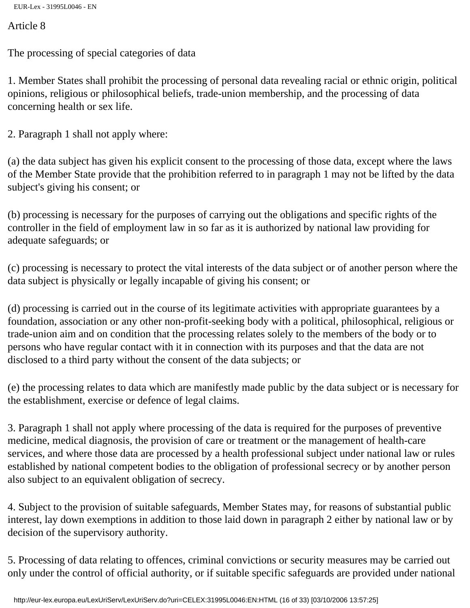Article 8

The processing of special categories of data

1. Member States shall prohibit the processing of personal data revealing racial or ethnic origin, political opinions, religious or philosophical beliefs, trade-union membership, and the processing of data concerning health or sex life.

2. Paragraph 1 shall not apply where:

(a) the data subject has given his explicit consent to the processing of those data, except where the laws of the Member State provide that the prohibition referred to in paragraph 1 may not be lifted by the data subject's giving his consent; or

(b) processing is necessary for the purposes of carrying out the obligations and specific rights of the controller in the field of employment law in so far as it is authorized by national law providing for adequate safeguards; or

(c) processing is necessary to protect the vital interests of the data subject or of another person where the data subject is physically or legally incapable of giving his consent; or

(d) processing is carried out in the course of its legitimate activities with appropriate guarantees by a foundation, association or any other non-profit-seeking body with a political, philosophical, religious or trade-union aim and on condition that the processing relates solely to the members of the body or to persons who have regular contact with it in connection with its purposes and that the data are not disclosed to a third party without the consent of the data subjects; or

(e) the processing relates to data which are manifestly made public by the data subject or is necessary for the establishment, exercise or defence of legal claims.

3. Paragraph 1 shall not apply where processing of the data is required for the purposes of preventive medicine, medical diagnosis, the provision of care or treatment or the management of health-care services, and where those data are processed by a health professional subject under national law or rules established by national competent bodies to the obligation of professional secrecy or by another person also subject to an equivalent obligation of secrecy.

4. Subject to the provision of suitable safeguards, Member States may, for reasons of substantial public interest, lay down exemptions in addition to those laid down in paragraph 2 either by national law or by decision of the supervisory authority.

5. Processing of data relating to offences, criminal convictions or security measures may be carried out only under the control of official authority, or if suitable specific safeguards are provided under national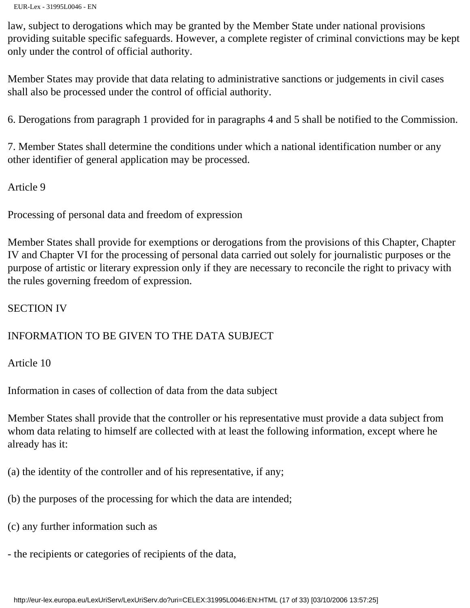law, subject to derogations which may be granted by the Member State under national provisions providing suitable specific safeguards. However, a complete register of criminal convictions may be kept only under the control of official authority.

Member States may provide that data relating to administrative sanctions or judgements in civil cases shall also be processed under the control of official authority.

6. Derogations from paragraph 1 provided for in paragraphs 4 and 5 shall be notified to the Commission.

7. Member States shall determine the conditions under which a national identification number or any other identifier of general application may be processed.

Article 9

Processing of personal data and freedom of expression

Member States shall provide for exemptions or derogations from the provisions of this Chapter, Chapter IV and Chapter VI for the processing of personal data carried out solely for journalistic purposes or the purpose of artistic or literary expression only if they are necessary to reconcile the right to privacy with the rules governing freedom of expression.

#### SECTION IV

#### INFORMATION TO BE GIVEN TO THE DATA SUBJECT

Article 10

Information in cases of collection of data from the data subject

Member States shall provide that the controller or his representative must provide a data subject from whom data relating to himself are collected with at least the following information, except where he already has it:

(a) the identity of the controller and of his representative, if any;

- (b) the purposes of the processing for which the data are intended;
- (c) any further information such as
- the recipients or categories of recipients of the data,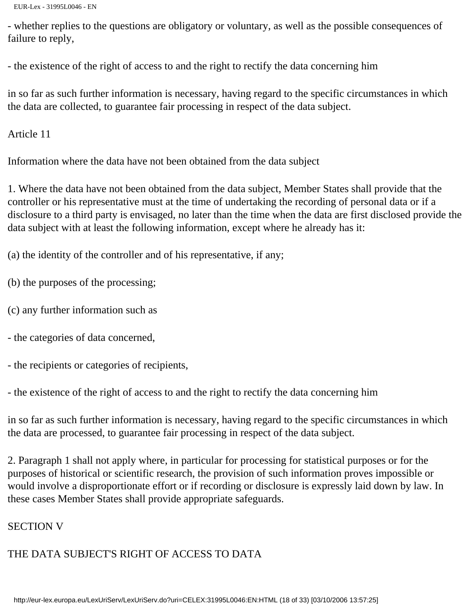- whether replies to the questions are obligatory or voluntary, as well as the possible consequences of failure to reply,

- the existence of the right of access to and the right to rectify the data concerning him

in so far as such further information is necessary, having regard to the specific circumstances in which the data are collected, to guarantee fair processing in respect of the data subject.

Article 11

Information where the data have not been obtained from the data subject

1. Where the data have not been obtained from the data subject, Member States shall provide that the controller or his representative must at the time of undertaking the recording of personal data or if a disclosure to a third party is envisaged, no later than the time when the data are first disclosed provide the data subject with at least the following information, except where he already has it:

(a) the identity of the controller and of his representative, if any;

- (b) the purposes of the processing;
- (c) any further information such as
- the categories of data concerned,
- the recipients or categories of recipients,

- the existence of the right of access to and the right to rectify the data concerning him

in so far as such further information is necessary, having regard to the specific circumstances in which the data are processed, to guarantee fair processing in respect of the data subject.

2. Paragraph 1 shall not apply where, in particular for processing for statistical purposes or for the purposes of historical or scientific research, the provision of such information proves impossible or would involve a disproportionate effort or if recording or disclosure is expressly laid down by law. In these cases Member States shall provide appropriate safeguards.

## SECTION V

# THE DATA SUBJECT'S RIGHT OF ACCESS TO DATA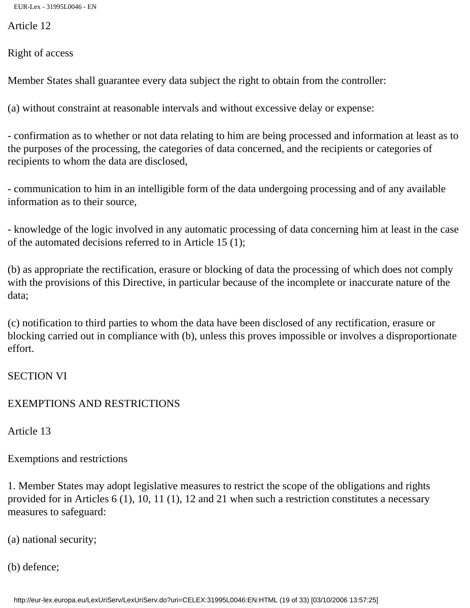Article 12

Right of access

Member States shall guarantee every data subject the right to obtain from the controller:

(a) without constraint at reasonable intervals and without excessive delay or expense:

- confirmation as to whether or not data relating to him are being processed and information at least as to the purposes of the processing, the categories of data concerned, and the recipients or categories of recipients to whom the data are disclosed,

- communication to him in an intelligible form of the data undergoing processing and of any available information as to their source,

- knowledge of the logic involved in any automatic processing of data concerning him at least in the case of the automated decisions referred to in Article 15 (1);

(b) as appropriate the rectification, erasure or blocking of data the processing of which does not comply with the provisions of this Directive, in particular because of the incomplete or inaccurate nature of the data;

(c) notification to third parties to whom the data have been disclosed of any rectification, erasure or blocking carried out in compliance with (b), unless this proves impossible or involves a disproportionate effort.

SECTION VI

## EXEMPTIONS AND RESTRICTIONS

Article 13

Exemptions and restrictions

1. Member States may adopt legislative measures to restrict the scope of the obligations and rights provided for in Articles 6 (1), 10, 11 (1), 12 and 21 when such a restriction constitutes a necessary measures to safeguard:

(a) national security;

(b) defence;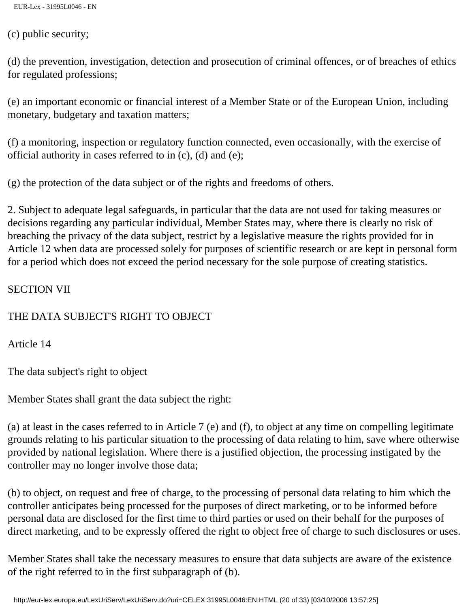(c) public security;

(d) the prevention, investigation, detection and prosecution of criminal offences, or of breaches of ethics for regulated professions;

(e) an important economic or financial interest of a Member State or of the European Union, including monetary, budgetary and taxation matters;

(f) a monitoring, inspection or regulatory function connected, even occasionally, with the exercise of official authority in cases referred to in (c), (d) and (e);

(g) the protection of the data subject or of the rights and freedoms of others.

2. Subject to adequate legal safeguards, in particular that the data are not used for taking measures or decisions regarding any particular individual, Member States may, where there is clearly no risk of breaching the privacy of the data subject, restrict by a legislative measure the rights provided for in Article 12 when data are processed solely for purposes of scientific research or are kept in personal form for a period which does not exceed the period necessary for the sole purpose of creating statistics.

#### SECTION VII

# THE DATA SUBJECT'S RIGHT TO OBJECT

Article 14

The data subject's right to object

Member States shall grant the data subject the right:

(a) at least in the cases referred to in Article 7 (e) and (f), to object at any time on compelling legitimate grounds relating to his particular situation to the processing of data relating to him, save where otherwise provided by national legislation. Where there is a justified objection, the processing instigated by the controller may no longer involve those data;

(b) to object, on request and free of charge, to the processing of personal data relating to him which the controller anticipates being processed for the purposes of direct marketing, or to be informed before personal data are disclosed for the first time to third parties or used on their behalf for the purposes of direct marketing, and to be expressly offered the right to object free of charge to such disclosures or uses.

Member States shall take the necessary measures to ensure that data subjects are aware of the existence of the right referred to in the first subparagraph of (b).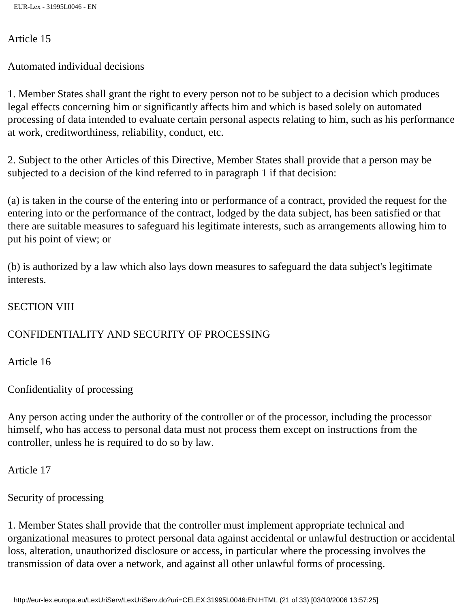#### Article 15

Automated individual decisions

1. Member States shall grant the right to every person not to be subject to a decision which produces legal effects concerning him or significantly affects him and which is based solely on automated processing of data intended to evaluate certain personal aspects relating to him, such as his performance at work, creditworthiness, reliability, conduct, etc.

2. Subject to the other Articles of this Directive, Member States shall provide that a person may be subjected to a decision of the kind referred to in paragraph 1 if that decision:

(a) is taken in the course of the entering into or performance of a contract, provided the request for the entering into or the performance of the contract, lodged by the data subject, has been satisfied or that there are suitable measures to safeguard his legitimate interests, such as arrangements allowing him to put his point of view; or

(b) is authorized by a law which also lays down measures to safeguard the data subject's legitimate interests.

#### SECTION VIII

# CONFIDENTIALITY AND SECURITY OF PROCESSING

Article 16

Confidentiality of processing

Any person acting under the authority of the controller or of the processor, including the processor himself, who has access to personal data must not process them except on instructions from the controller, unless he is required to do so by law.

Article 17

## Security of processing

1. Member States shall provide that the controller must implement appropriate technical and organizational measures to protect personal data against accidental or unlawful destruction or accidental loss, alteration, unauthorized disclosure or access, in particular where the processing involves the transmission of data over a network, and against all other unlawful forms of processing.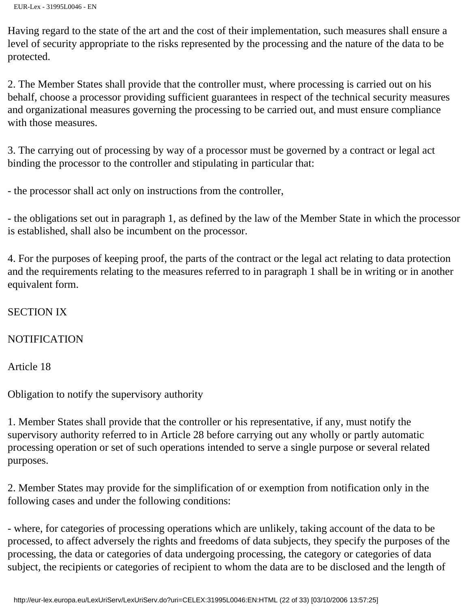Having regard to the state of the art and the cost of their implementation, such measures shall ensure a level of security appropriate to the risks represented by the processing and the nature of the data to be protected.

2. The Member States shall provide that the controller must, where processing is carried out on his behalf, choose a processor providing sufficient guarantees in respect of the technical security measures and organizational measures governing the processing to be carried out, and must ensure compliance with those measures.

3. The carrying out of processing by way of a processor must be governed by a contract or legal act binding the processor to the controller and stipulating in particular that:

- the processor shall act only on instructions from the controller,

- the obligations set out in paragraph 1, as defined by the law of the Member State in which the processor is established, shall also be incumbent on the processor.

4. For the purposes of keeping proof, the parts of the contract or the legal act relating to data protection and the requirements relating to the measures referred to in paragraph 1 shall be in writing or in another equivalent form.

#### SECTION IX

#### NOTIFICATION

Article 18

Obligation to notify the supervisory authority

1. Member States shall provide that the controller or his representative, if any, must notify the supervisory authority referred to in Article 28 before carrying out any wholly or partly automatic processing operation or set of such operations intended to serve a single purpose or several related purposes.

2. Member States may provide for the simplification of or exemption from notification only in the following cases and under the following conditions:

- where, for categories of processing operations which are unlikely, taking account of the data to be processed, to affect adversely the rights and freedoms of data subjects, they specify the purposes of the processing, the data or categories of data undergoing processing, the category or categories of data subject, the recipients or categories of recipient to whom the data are to be disclosed and the length of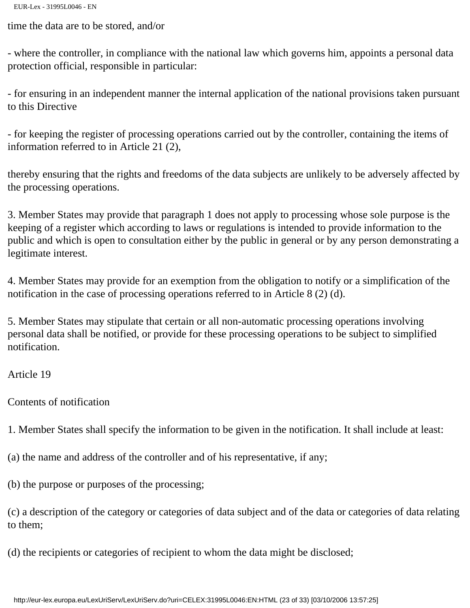time the data are to be stored, and/or

- where the controller, in compliance with the national law which governs him, appoints a personal data protection official, responsible in particular:

- for ensuring in an independent manner the internal application of the national provisions taken pursuant to this Directive

- for keeping the register of processing operations carried out by the controller, containing the items of information referred to in Article 21 (2),

thereby ensuring that the rights and freedoms of the data subjects are unlikely to be adversely affected by the processing operations.

3. Member States may provide that paragraph 1 does not apply to processing whose sole purpose is the keeping of a register which according to laws or regulations is intended to provide information to the public and which is open to consultation either by the public in general or by any person demonstrating a legitimate interest.

4. Member States may provide for an exemption from the obligation to notify or a simplification of the notification in the case of processing operations referred to in Article 8 (2) (d).

5. Member States may stipulate that certain or all non-automatic processing operations involving personal data shall be notified, or provide for these processing operations to be subject to simplified notification.

Article 19

Contents of notification

1. Member States shall specify the information to be given in the notification. It shall include at least:

(a) the name and address of the controller and of his representative, if any;

(b) the purpose or purposes of the processing;

(c) a description of the category or categories of data subject and of the data or categories of data relating to them;

(d) the recipients or categories of recipient to whom the data might be disclosed;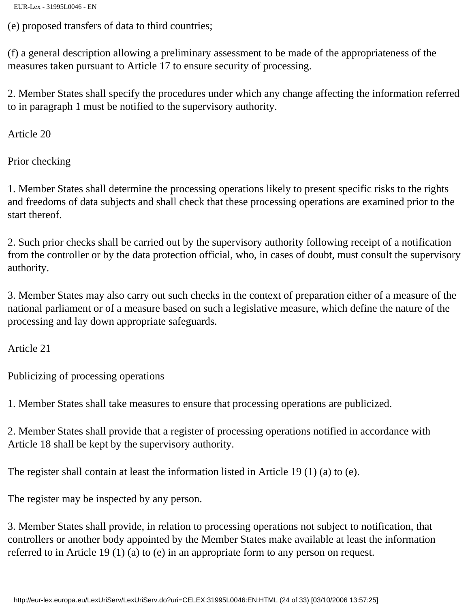(e) proposed transfers of data to third countries;

(f) a general description allowing a preliminary assessment to be made of the appropriateness of the measures taken pursuant to Article 17 to ensure security of processing.

2. Member States shall specify the procedures under which any change affecting the information referred to in paragraph 1 must be notified to the supervisory authority.

Article 20

Prior checking

1. Member States shall determine the processing operations likely to present specific risks to the rights and freedoms of data subjects and shall check that these processing operations are examined prior to the start thereof.

2. Such prior checks shall be carried out by the supervisory authority following receipt of a notification from the controller or by the data protection official, who, in cases of doubt, must consult the supervisory authority.

3. Member States may also carry out such checks in the context of preparation either of a measure of the national parliament or of a measure based on such a legislative measure, which define the nature of the processing and lay down appropriate safeguards.

Article 21

Publicizing of processing operations

1. Member States shall take measures to ensure that processing operations are publicized.

2. Member States shall provide that a register of processing operations notified in accordance with Article 18 shall be kept by the supervisory authority.

The register shall contain at least the information listed in Article 19 (1) (a) to (e).

The register may be inspected by any person.

3. Member States shall provide, in relation to processing operations not subject to notification, that controllers or another body appointed by the Member States make available at least the information referred to in Article 19 (1) (a) to (e) in an appropriate form to any person on request.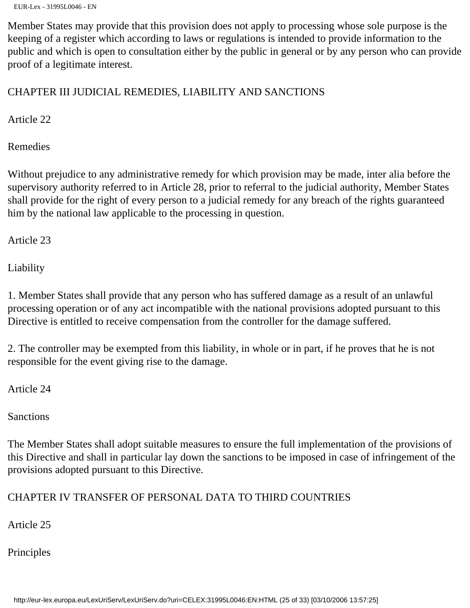```
EUR-Lex - 31995L0046 - EN
```
Member States may provide that this provision does not apply to processing whose sole purpose is the keeping of a register which according to laws or regulations is intended to provide information to the public and which is open to consultation either by the public in general or by any person who can provide proof of a legitimate interest.

# CHAPTER III JUDICIAL REMEDIES, LIABILITY AND SANCTIONS

Article 22

Remedies

Without prejudice to any administrative remedy for which provision may be made, inter alia before the supervisory authority referred to in Article 28, prior to referral to the judicial authority, Member States shall provide for the right of every person to a judicial remedy for any breach of the rights guaranteed him by the national law applicable to the processing in question.

Article 23

Liability

1. Member States shall provide that any person who has suffered damage as a result of an unlawful processing operation or of any act incompatible with the national provisions adopted pursuant to this Directive is entitled to receive compensation from the controller for the damage suffered.

2. The controller may be exempted from this liability, in whole or in part, if he proves that he is not responsible for the event giving rise to the damage.

Article 24

Sanctions

The Member States shall adopt suitable measures to ensure the full implementation of the provisions of this Directive and shall in particular lay down the sanctions to be imposed in case of infringement of the provisions adopted pursuant to this Directive.

# CHAPTER IV TRANSFER OF PERSONAL DATA TO THIRD COUNTRIES

Article 25

Principles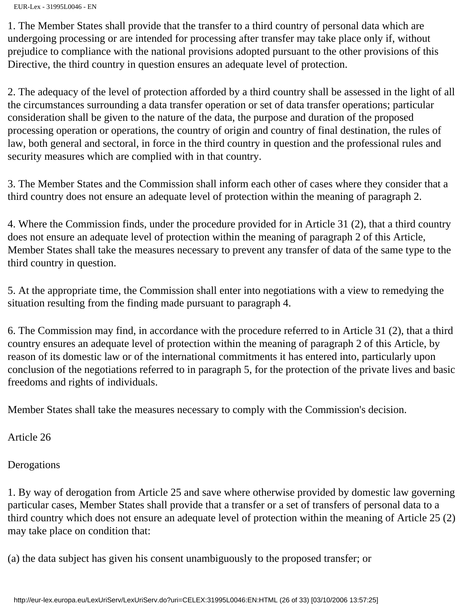1. The Member States shall provide that the transfer to a third country of personal data which are undergoing processing or are intended for processing after transfer may take place only if, without prejudice to compliance with the national provisions adopted pursuant to the other provisions of this Directive, the third country in question ensures an adequate level of protection.

2. The adequacy of the level of protection afforded by a third country shall be assessed in the light of all the circumstances surrounding a data transfer operation or set of data transfer operations; particular consideration shall be given to the nature of the data, the purpose and duration of the proposed processing operation or operations, the country of origin and country of final destination, the rules of law, both general and sectoral, in force in the third country in question and the professional rules and security measures which are complied with in that country.

3. The Member States and the Commission shall inform each other of cases where they consider that a third country does not ensure an adequate level of protection within the meaning of paragraph 2.

4. Where the Commission finds, under the procedure provided for in Article 31 (2), that a third country does not ensure an adequate level of protection within the meaning of paragraph 2 of this Article, Member States shall take the measures necessary to prevent any transfer of data of the same type to the third country in question.

5. At the appropriate time, the Commission shall enter into negotiations with a view to remedying the situation resulting from the finding made pursuant to paragraph 4.

6. The Commission may find, in accordance with the procedure referred to in Article 31 (2), that a third country ensures an adequate level of protection within the meaning of paragraph 2 of this Article, by reason of its domestic law or of the international commitments it has entered into, particularly upon conclusion of the negotiations referred to in paragraph 5, for the protection of the private lives and basic freedoms and rights of individuals.

Member States shall take the measures necessary to comply with the Commission's decision.

Article 26

**Derogations** 

1. By way of derogation from Article 25 and save where otherwise provided by domestic law governing particular cases, Member States shall provide that a transfer or a set of transfers of personal data to a third country which does not ensure an adequate level of protection within the meaning of Article 25 (2) may take place on condition that:

(a) the data subject has given his consent unambiguously to the proposed transfer; or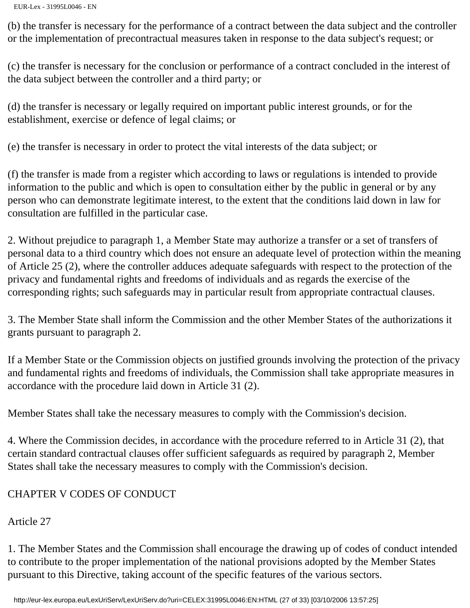(b) the transfer is necessary for the performance of a contract between the data subject and the controller or the implementation of precontractual measures taken in response to the data subject's request; or

(c) the transfer is necessary for the conclusion or performance of a contract concluded in the interest of the data subject between the controller and a third party; or

(d) the transfer is necessary or legally required on important public interest grounds, or for the establishment, exercise or defence of legal claims; or

(e) the transfer is necessary in order to protect the vital interests of the data subject; or

(f) the transfer is made from a register which according to laws or regulations is intended to provide information to the public and which is open to consultation either by the public in general or by any person who can demonstrate legitimate interest, to the extent that the conditions laid down in law for consultation are fulfilled in the particular case.

2. Without prejudice to paragraph 1, a Member State may authorize a transfer or a set of transfers of personal data to a third country which does not ensure an adequate level of protection within the meaning of Article 25 (2), where the controller adduces adequate safeguards with respect to the protection of the privacy and fundamental rights and freedoms of individuals and as regards the exercise of the corresponding rights; such safeguards may in particular result from appropriate contractual clauses.

3. The Member State shall inform the Commission and the other Member States of the authorizations it grants pursuant to paragraph 2.

If a Member State or the Commission objects on justified grounds involving the protection of the privacy and fundamental rights and freedoms of individuals, the Commission shall take appropriate measures in accordance with the procedure laid down in Article 31 (2).

Member States shall take the necessary measures to comply with the Commission's decision.

4. Where the Commission decides, in accordance with the procedure referred to in Article 31 (2), that certain standard contractual clauses offer sufficient safeguards as required by paragraph 2, Member States shall take the necessary measures to comply with the Commission's decision.

## CHAPTER V CODES OF CONDUCT

Article 27

1. The Member States and the Commission shall encourage the drawing up of codes of conduct intended to contribute to the proper implementation of the national provisions adopted by the Member States pursuant to this Directive, taking account of the specific features of the various sectors.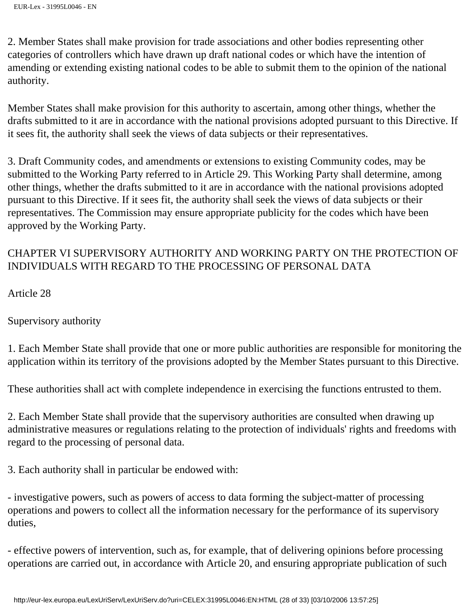2. Member States shall make provision for trade associations and other bodies representing other categories of controllers which have drawn up draft national codes or which have the intention of amending or extending existing national codes to be able to submit them to the opinion of the national authority.

Member States shall make provision for this authority to ascertain, among other things, whether the drafts submitted to it are in accordance with the national provisions adopted pursuant to this Directive. If it sees fit, the authority shall seek the views of data subjects or their representatives.

3. Draft Community codes, and amendments or extensions to existing Community codes, may be submitted to the Working Party referred to in Article 29. This Working Party shall determine, among other things, whether the drafts submitted to it are in accordance with the national provisions adopted pursuant to this Directive. If it sees fit, the authority shall seek the views of data subjects or their representatives. The Commission may ensure appropriate publicity for the codes which have been approved by the Working Party.

# CHAPTER VI SUPERVISORY AUTHORITY AND WORKING PARTY ON THE PROTECTION OF INDIVIDUALS WITH REGARD TO THE PROCESSING OF PERSONAL DATA

Article 28

Supervisory authority

1. Each Member State shall provide that one or more public authorities are responsible for monitoring the application within its territory of the provisions adopted by the Member States pursuant to this Directive.

These authorities shall act with complete independence in exercising the functions entrusted to them.

2. Each Member State shall provide that the supervisory authorities are consulted when drawing up administrative measures or regulations relating to the protection of individuals' rights and freedoms with regard to the processing of personal data.

3. Each authority shall in particular be endowed with:

- investigative powers, such as powers of access to data forming the subject-matter of processing operations and powers to collect all the information necessary for the performance of its supervisory duties,

- effective powers of intervention, such as, for example, that of delivering opinions before processing operations are carried out, in accordance with Article 20, and ensuring appropriate publication of such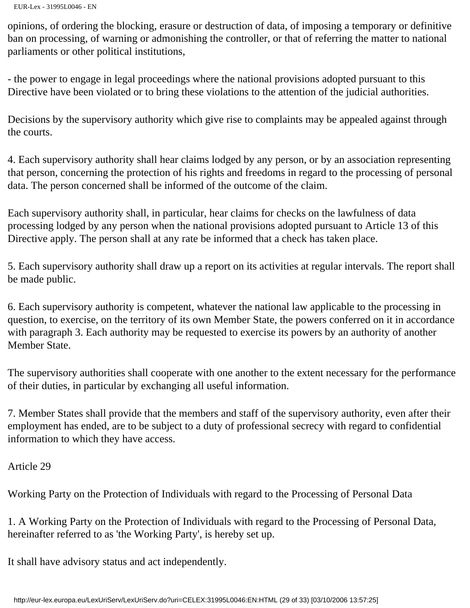opinions, of ordering the blocking, erasure or destruction of data, of imposing a temporary or definitive ban on processing, of warning or admonishing the controller, or that of referring the matter to national parliaments or other political institutions,

- the power to engage in legal proceedings where the national provisions adopted pursuant to this Directive have been violated or to bring these violations to the attention of the judicial authorities.

Decisions by the supervisory authority which give rise to complaints may be appealed against through the courts.

4. Each supervisory authority shall hear claims lodged by any person, or by an association representing that person, concerning the protection of his rights and freedoms in regard to the processing of personal data. The person concerned shall be informed of the outcome of the claim.

Each supervisory authority shall, in particular, hear claims for checks on the lawfulness of data processing lodged by any person when the national provisions adopted pursuant to Article 13 of this Directive apply. The person shall at any rate be informed that a check has taken place.

5. Each supervisory authority shall draw up a report on its activities at regular intervals. The report shall be made public.

6. Each supervisory authority is competent, whatever the national law applicable to the processing in question, to exercise, on the territory of its own Member State, the powers conferred on it in accordance with paragraph 3. Each authority may be requested to exercise its powers by an authority of another Member State.

The supervisory authorities shall cooperate with one another to the extent necessary for the performance of their duties, in particular by exchanging all useful information.

7. Member States shall provide that the members and staff of the supervisory authority, even after their employment has ended, are to be subject to a duty of professional secrecy with regard to confidential information to which they have access.

Article 29

Working Party on the Protection of Individuals with regard to the Processing of Personal Data

1. A Working Party on the Protection of Individuals with regard to the Processing of Personal Data, hereinafter referred to as 'the Working Party', is hereby set up.

It shall have advisory status and act independently.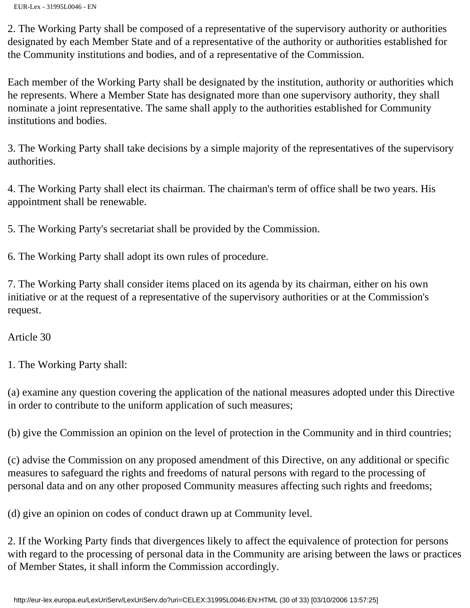2. The Working Party shall be composed of a representative of the supervisory authority or authorities designated by each Member State and of a representative of the authority or authorities established for the Community institutions and bodies, and of a representative of the Commission.

Each member of the Working Party shall be designated by the institution, authority or authorities which he represents. Where a Member State has designated more than one supervisory authority, they shall nominate a joint representative. The same shall apply to the authorities established for Community institutions and bodies.

3. The Working Party shall take decisions by a simple majority of the representatives of the supervisory authorities.

4. The Working Party shall elect its chairman. The chairman's term of office shall be two years. His appointment shall be renewable.

5. The Working Party's secretariat shall be provided by the Commission.

6. The Working Party shall adopt its own rules of procedure.

7. The Working Party shall consider items placed on its agenda by its chairman, either on his own initiative or at the request of a representative of the supervisory authorities or at the Commission's request.

Article 30

1. The Working Party shall:

(a) examine any question covering the application of the national measures adopted under this Directive in order to contribute to the uniform application of such measures;

(b) give the Commission an opinion on the level of protection in the Community and in third countries;

(c) advise the Commission on any proposed amendment of this Directive, on any additional or specific measures to safeguard the rights and freedoms of natural persons with regard to the processing of personal data and on any other proposed Community measures affecting such rights and freedoms;

(d) give an opinion on codes of conduct drawn up at Community level.

2. If the Working Party finds that divergences likely to affect the equivalence of protection for persons with regard to the processing of personal data in the Community are arising between the laws or practices of Member States, it shall inform the Commission accordingly.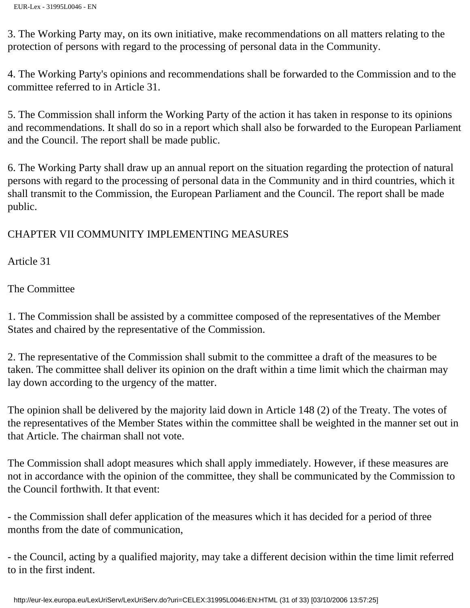3. The Working Party may, on its own initiative, make recommendations on all matters relating to the protection of persons with regard to the processing of personal data in the Community.

4. The Working Party's opinions and recommendations shall be forwarded to the Commission and to the committee referred to in Article 31.

5. The Commission shall inform the Working Party of the action it has taken in response to its opinions and recommendations. It shall do so in a report which shall also be forwarded to the European Parliament and the Council. The report shall be made public.

6. The Working Party shall draw up an annual report on the situation regarding the protection of natural persons with regard to the processing of personal data in the Community and in third countries, which it shall transmit to the Commission, the European Parliament and the Council. The report shall be made public.

## CHAPTER VII COMMUNITY IMPLEMENTING MEASURES

Article 31

The Committee

1. The Commission shall be assisted by a committee composed of the representatives of the Member States and chaired by the representative of the Commission.

2. The representative of the Commission shall submit to the committee a draft of the measures to be taken. The committee shall deliver its opinion on the draft within a time limit which the chairman may lay down according to the urgency of the matter.

The opinion shall be delivered by the majority laid down in Article 148 (2) of the Treaty. The votes of the representatives of the Member States within the committee shall be weighted in the manner set out in that Article. The chairman shall not vote.

The Commission shall adopt measures which shall apply immediately. However, if these measures are not in accordance with the opinion of the committee, they shall be communicated by the Commission to the Council forthwith. It that event:

- the Commission shall defer application of the measures which it has decided for a period of three months from the date of communication,

- the Council, acting by a qualified majority, may take a different decision within the time limit referred to in the first indent.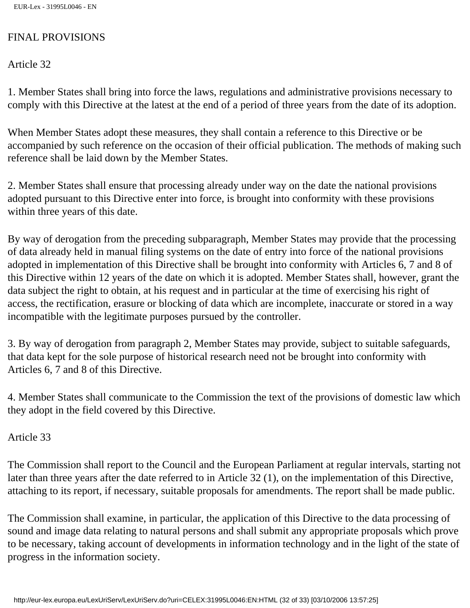#### FINAL PROVISIONS

Article 32

1. Member States shall bring into force the laws, regulations and administrative provisions necessary to comply with this Directive at the latest at the end of a period of three years from the date of its adoption.

When Member States adopt these measures, they shall contain a reference to this Directive or be accompanied by such reference on the occasion of their official publication. The methods of making such reference shall be laid down by the Member States.

2. Member States shall ensure that processing already under way on the date the national provisions adopted pursuant to this Directive enter into force, is brought into conformity with these provisions within three years of this date.

By way of derogation from the preceding subparagraph, Member States may provide that the processing of data already held in manual filing systems on the date of entry into force of the national provisions adopted in implementation of this Directive shall be brought into conformity with Articles 6, 7 and 8 of this Directive within 12 years of the date on which it is adopted. Member States shall, however, grant the data subject the right to obtain, at his request and in particular at the time of exercising his right of access, the rectification, erasure or blocking of data which are incomplete, inaccurate or stored in a way incompatible with the legitimate purposes pursued by the controller.

3. By way of derogation from paragraph 2, Member States may provide, subject to suitable safeguards, that data kept for the sole purpose of historical research need not be brought into conformity with Articles 6, 7 and 8 of this Directive.

4. Member States shall communicate to the Commission the text of the provisions of domestic law which they adopt in the field covered by this Directive.

Article 33

The Commission shall report to the Council and the European Parliament at regular intervals, starting not later than three years after the date referred to in Article 32 (1), on the implementation of this Directive, attaching to its report, if necessary, suitable proposals for amendments. The report shall be made public.

The Commission shall examine, in particular, the application of this Directive to the data processing of sound and image data relating to natural persons and shall submit any appropriate proposals which prove to be necessary, taking account of developments in information technology and in the light of the state of progress in the information society.